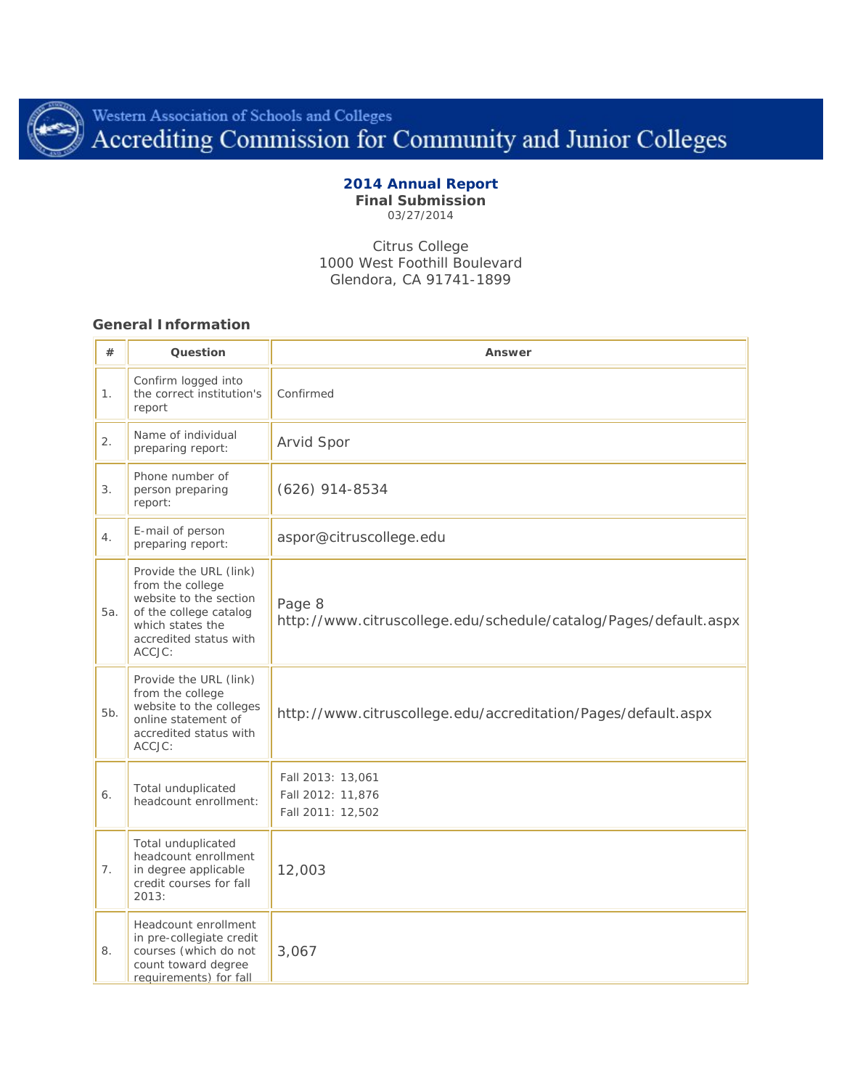

# Western Association of Schools and Colleges<br>Accrediting Commission for Community and Junior Colleges

# **2014 Annual Report**

**Final Submission** 03/27/2014

Citrus College 1000 West Foothill Boulevard Glendora, CA 91741-1899

## **General Information**

| #      | Question                                                                                                                                               | Answer                                                                     |  |  |
|--------|--------------------------------------------------------------------------------------------------------------------------------------------------------|----------------------------------------------------------------------------|--|--|
| 1.     | Confirm logged into<br>the correct institution's<br>report                                                                                             | Confirmed                                                                  |  |  |
| 2.     | Name of individual<br>preparing report:                                                                                                                | Arvid Spor                                                                 |  |  |
| 3.     | Phone number of<br>person preparing<br>report:                                                                                                         | $(626)$ 914-8534                                                           |  |  |
| 4.     | E-mail of person<br>preparing report:                                                                                                                  | aspor@citruscollege.edu                                                    |  |  |
| 5а.    | Provide the URL (link)<br>from the college<br>website to the section<br>of the college catalog<br>which states the<br>accredited status with<br>ACCJC: | Page 8<br>http://www.citruscollege.edu/schedule/catalog/Pages/default.aspx |  |  |
| $5b$ . | Provide the URL (link)<br>from the college<br>website to the colleges<br>online statement of<br>accredited status with<br>ACCJC:                       | http://www.citruscollege.edu/accreditation/Pages/default.aspx              |  |  |
| 6.     | Total unduplicated<br>headcount enrollment:                                                                                                            | Fall 2013: 13,061<br>Fall 2012: 11,876<br>Fall 2011: 12,502                |  |  |
| 7.     | Total unduplicated<br>headcount enrollment<br>in degree applicable<br>credit courses for fall<br>2013:                                                 | 12,003                                                                     |  |  |
| 8.     | Headcount enrollment<br>in pre-collegiate credit<br>courses (which do not<br>count toward degree<br>requirements) for fall                             | 3,067                                                                      |  |  |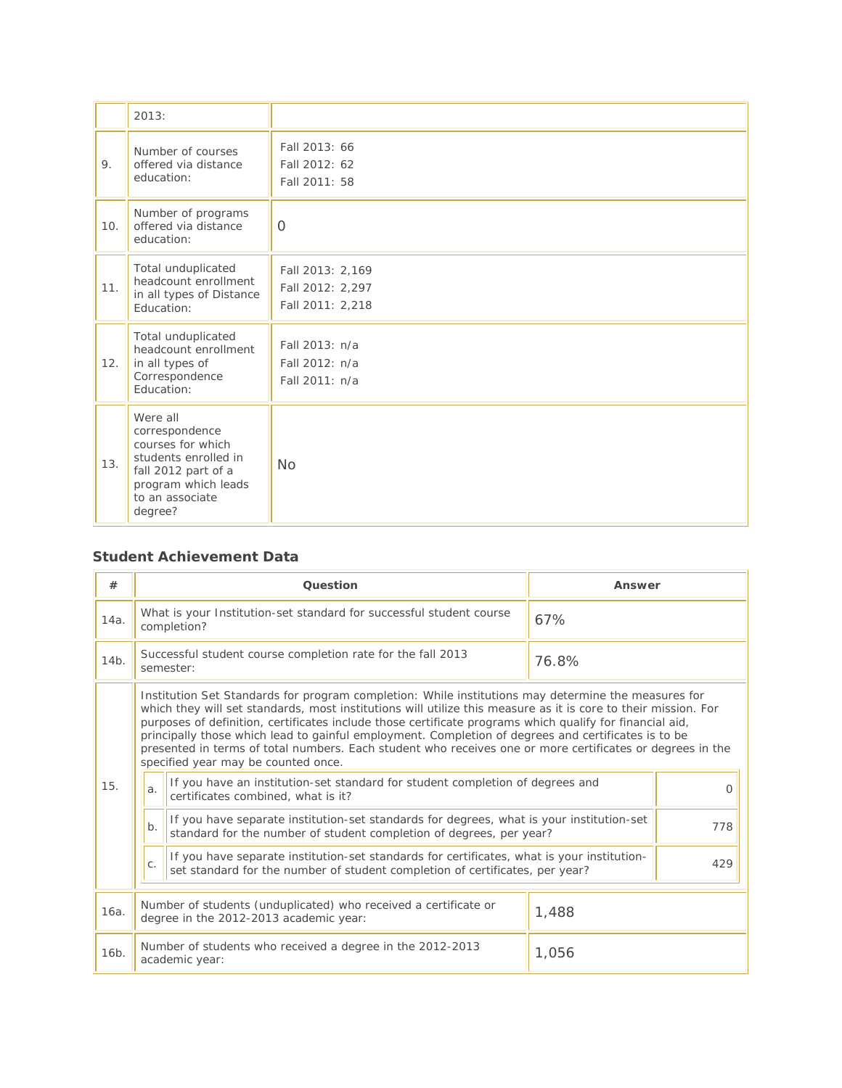|     | 2013:                                                                                                                                               |                                                          |
|-----|-----------------------------------------------------------------------------------------------------------------------------------------------------|----------------------------------------------------------|
| 9.  | Number of courses<br>offered via distance<br>education:                                                                                             | Fall 2013: 66<br>Fall 2012: 62<br>Fall 2011: 58          |
| 10. | Number of programs<br>offered via distance<br>education:                                                                                            | $\Omega$                                                 |
| 11. | Total unduplicated<br>headcount enrollment<br>in all types of Distance<br>Education:                                                                | Fall 2013: 2,169<br>Fall 2012: 2,297<br>Fall 2011: 2,218 |
| 12. | Total unduplicated<br>headcount enrollment<br>in all types of<br>Correspondence<br>Education:                                                       | Fall 2013: n/a<br>Fall 2012: n/a<br>Fall 2011: n/a       |
| 13. | Were all<br>correspondence<br>courses for which<br>students enrolled in<br>fall 2012 part of a<br>program which leads<br>to an associate<br>degree? | <b>No</b>                                                |

## **Student Achievement Data**

| #                 | Question                                                                                                  |                                                                                                                                                                                                                                                                                                                                                                                                                                                                                                                                                                                                                                                                                                                                                                                                                 | Answer |
|-------------------|-----------------------------------------------------------------------------------------------------------|-----------------------------------------------------------------------------------------------------------------------------------------------------------------------------------------------------------------------------------------------------------------------------------------------------------------------------------------------------------------------------------------------------------------------------------------------------------------------------------------------------------------------------------------------------------------------------------------------------------------------------------------------------------------------------------------------------------------------------------------------------------------------------------------------------------------|--------|
| 14a.              | What is your Institution-set standard for successful student course<br>completion?                        |                                                                                                                                                                                                                                                                                                                                                                                                                                                                                                                                                                                                                                                                                                                                                                                                                 | 67%    |
| 14b.              |                                                                                                           | Successful student course completion rate for the fall 2013<br>semester:                                                                                                                                                                                                                                                                                                                                                                                                                                                                                                                                                                                                                                                                                                                                        | 76.8%  |
| 15.               | a <sub>x</sub><br>$b$ .                                                                                   | Institution Set Standards for program completion: While institutions may determine the measures for<br>which they will set standards, most institutions will utilize this measure as it is core to their mission. For<br>purposes of definition, certificates include those certificate programs which qualify for financial aid,<br>principally those which lead to gainful employment. Completion of degrees and certificates is to be<br>presented in terms of total numbers. Each student who receives one or more certificates or degrees in the<br>specified year may be counted once.<br>If you have an institution-set standard for student completion of degrees and<br>certificates combined, what is it?<br>If you have separate institution-set standards for degrees, what is your institution-set |        |
|                   |                                                                                                           | standard for the number of student completion of degrees, per year?                                                                                                                                                                                                                                                                                                                                                                                                                                                                                                                                                                                                                                                                                                                                             | 778    |
|                   | C.                                                                                                        | If you have separate institution-set standards for certificates, what is your institution-<br>set standard for the number of student completion of certificates, per year?                                                                                                                                                                                                                                                                                                                                                                                                                                                                                                                                                                                                                                      | 429    |
| 16a.              | Number of students (unduplicated) who received a certificate or<br>degree in the 2012-2013 academic year: |                                                                                                                                                                                                                                                                                                                                                                                                                                                                                                                                                                                                                                                                                                                                                                                                                 | 1,488  |
| 16 <sub>b</sub> . | Number of students who received a degree in the 2012-2013<br>academic year:                               |                                                                                                                                                                                                                                                                                                                                                                                                                                                                                                                                                                                                                                                                                                                                                                                                                 | 1,056  |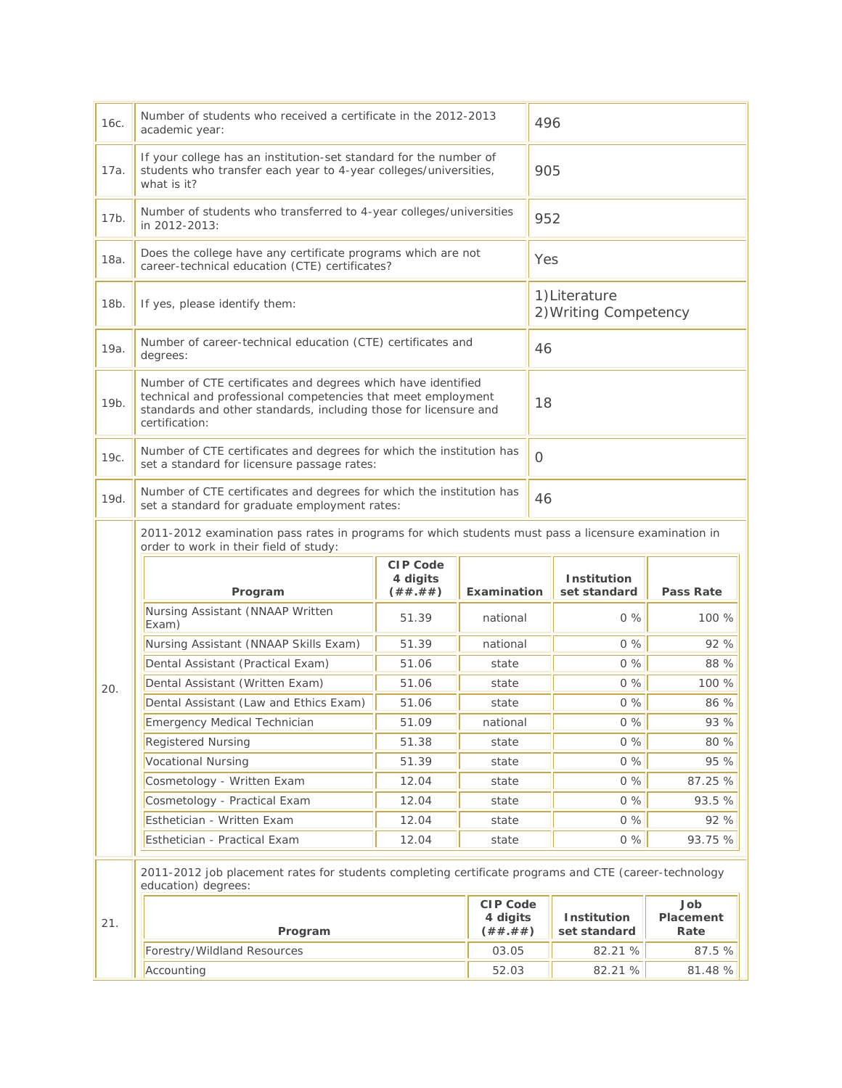| 16с. | Number of students who received a certificate in the 2012-2013<br>academic year:                                                                                                                                   |                                          |                                          | 496      |                                       |                          |
|------|--------------------------------------------------------------------------------------------------------------------------------------------------------------------------------------------------------------------|------------------------------------------|------------------------------------------|----------|---------------------------------------|--------------------------|
| 17a. | If your college has an institution-set standard for the number of<br>students who transfer each year to 4-year colleges/universities,<br>what is it?                                                               |                                          |                                          | 905      |                                       |                          |
| 17b. | Number of students who transferred to 4-year colleges/universities<br>in 2012-2013:                                                                                                                                |                                          |                                          | 952      |                                       |                          |
| 18a. | Does the college have any certificate programs which are not<br>career-technical education (CTE) certificates?                                                                                                     |                                          |                                          | Yes      |                                       |                          |
| 18b. | If yes, please identify them:                                                                                                                                                                                      |                                          |                                          |          | 1)Literature<br>2) Writing Competency |                          |
| 19a. | Number of career-technical education (CTE) certificates and<br>degrees:                                                                                                                                            |                                          |                                          | 46       |                                       |                          |
| 19b. | Number of CTE certificates and degrees which have identified<br>technical and professional competencies that meet employment<br>standards and other standards, including those for licensure and<br>certification: |                                          |                                          | 18       |                                       |                          |
| 19с. | Number of CTE certificates and degrees for which the institution has<br>set a standard for licensure passage rates:                                                                                                |                                          |                                          | $\Omega$ |                                       |                          |
| 19d. | Number of CTE certificates and degrees for which the institution has<br>set a standard for graduate employment rates:                                                                                              |                                          |                                          | 46       |                                       |                          |
|      | 2011-2012 examination pass rates in programs for which students must pass a licensure examination in<br>order to work in their field of study:                                                                     |                                          |                                          |          |                                       |                          |
|      | Program                                                                                                                                                                                                            | <b>CIP Code</b><br>4 digits<br>( ## .##) | Examination                              |          | Institution<br>set standard           | <b>Pass Rate</b>         |
|      | Nursing Assistant (NNAAP Written<br>Exam)                                                                                                                                                                          | 51.39                                    | national                                 |          | $0\%$                                 | 100 %                    |
|      | Nursing Assistant (NNAAP Skills Exam)                                                                                                                                                                              | 51.39                                    | national                                 |          | 0%                                    | 92 %                     |
|      | Dental Assistant (Practical Exam)                                                                                                                                                                                  | 51.06                                    | state                                    |          | 0%                                    | 88 %                     |
| 20.  | Dental Assistant (Written Exam)                                                                                                                                                                                    | 51.06                                    | state                                    |          | $0\%$                                 | 100 %                    |
|      | Dental Assistant (Law and Ethics Exam)                                                                                                                                                                             | 51.06                                    | state                                    |          | $0\%$                                 | 86 %                     |
|      | Emergency Medical Technician                                                                                                                                                                                       | 51.09                                    | national                                 |          | 0%                                    | 93 %                     |
|      | <b>Registered Nursing</b>                                                                                                                                                                                          | 51.38                                    | state                                    |          | 0%                                    | 80 %                     |
|      | <b>Vocational Nursing</b>                                                                                                                                                                                          | 51.39                                    | state                                    |          | 0%                                    | 95 %                     |
|      | Cosmetology - Written Exam                                                                                                                                                                                         | 12.04<br>state                           |                                          |          | 0%                                    | 87.25 %                  |
|      | Cosmetology - Practical Exam                                                                                                                                                                                       | 12.04                                    | state                                    |          | 0%                                    | 93.5 %                   |
|      | Esthetician - Written Exam<br>12.04<br>state                                                                                                                                                                       |                                          |                                          | 0%       | 92 %                                  |                          |
|      | Esthetician - Practical Exam                                                                                                                                                                                       | 12.04                                    | state                                    |          | 0%                                    | 93.75 %                  |
|      | 2011-2012 job placement rates for students completing certificate programs and CTE (career-technology<br>education) degrees:                                                                                       |                                          |                                          |          |                                       |                          |
| 21.  | Program                                                                                                                                                                                                            |                                          | <b>CIP Code</b><br>4 digits<br>( ## .##) |          | Institution<br>set standard           | Job<br>Placement<br>Rate |
|      | Forestry/Wildland Resources                                                                                                                                                                                        |                                          | 03.05                                    |          | 82.21 %                               | 87.5 %                   |
|      | Accounting<br>52.03                                                                                                                                                                                                |                                          |                                          |          | 82.21 %                               | 81.48 %                  |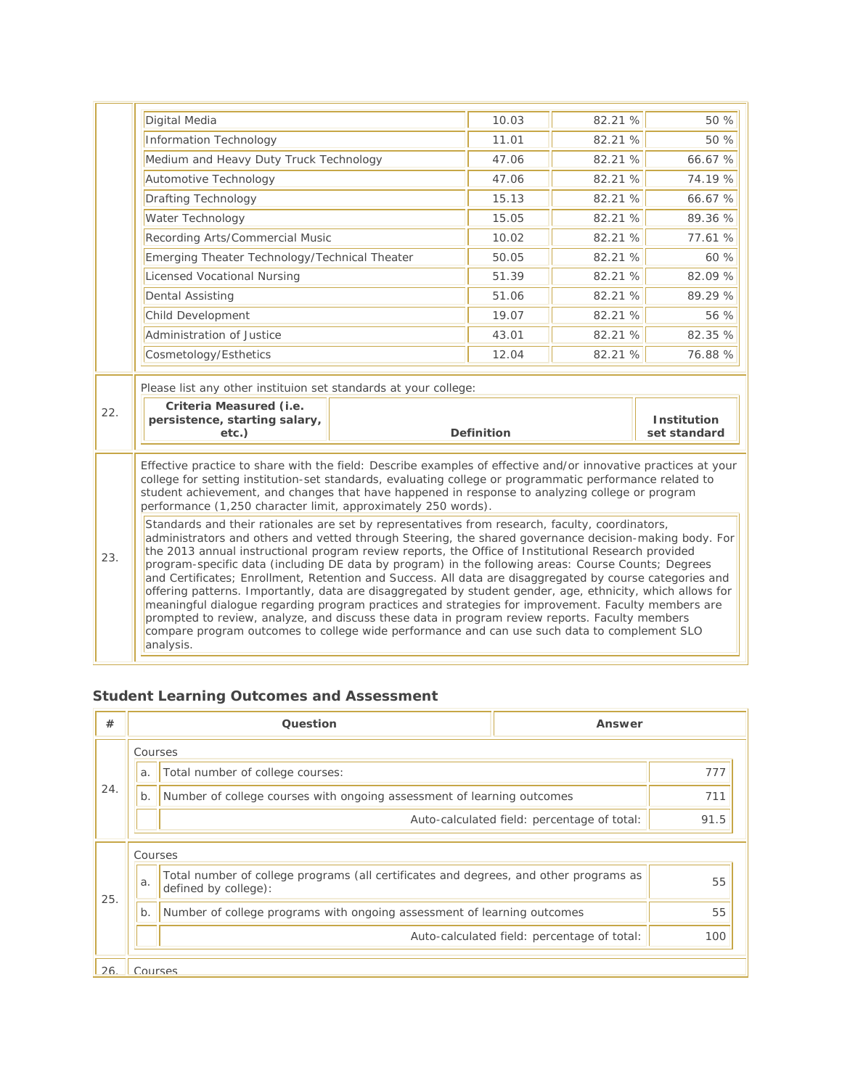|                                                                                                                                                                                                                                                                                                                                                                                                                                                                                                                                                                                                                                                                                                                    | Digital Media                                                                                                                                                                                                                                                                                                                                                                                                                                                                                                                                                                                                                                       |                   | 10.03 | 82.21 % | 50 %               |  |
|--------------------------------------------------------------------------------------------------------------------------------------------------------------------------------------------------------------------------------------------------------------------------------------------------------------------------------------------------------------------------------------------------------------------------------------------------------------------------------------------------------------------------------------------------------------------------------------------------------------------------------------------------------------------------------------------------------------------|-----------------------------------------------------------------------------------------------------------------------------------------------------------------------------------------------------------------------------------------------------------------------------------------------------------------------------------------------------------------------------------------------------------------------------------------------------------------------------------------------------------------------------------------------------------------------------------------------------------------------------------------------------|-------------------|-------|---------|--------------------|--|
|                                                                                                                                                                                                                                                                                                                                                                                                                                                                                                                                                                                                                                                                                                                    | Information Technology                                                                                                                                                                                                                                                                                                                                                                                                                                                                                                                                                                                                                              |                   | 11.01 | 82.21 % | 50 %               |  |
|                                                                                                                                                                                                                                                                                                                                                                                                                                                                                                                                                                                                                                                                                                                    | Medium and Heavy Duty Truck Technology                                                                                                                                                                                                                                                                                                                                                                                                                                                                                                                                                                                                              |                   | 47.06 | 82.21 % | 66.67 %            |  |
|                                                                                                                                                                                                                                                                                                                                                                                                                                                                                                                                                                                                                                                                                                                    | Automotive Technology                                                                                                                                                                                                                                                                                                                                                                                                                                                                                                                                                                                                                               |                   | 47.06 | 82.21 % | 74.19 %            |  |
|                                                                                                                                                                                                                                                                                                                                                                                                                                                                                                                                                                                                                                                                                                                    | <b>Drafting Technology</b>                                                                                                                                                                                                                                                                                                                                                                                                                                                                                                                                                                                                                          |                   | 15.13 | 82.21 % | 66.67 %            |  |
|                                                                                                                                                                                                                                                                                                                                                                                                                                                                                                                                                                                                                                                                                                                    | Water Technology                                                                                                                                                                                                                                                                                                                                                                                                                                                                                                                                                                                                                                    |                   | 15.05 | 82.21 % | 89.36 %            |  |
|                                                                                                                                                                                                                                                                                                                                                                                                                                                                                                                                                                                                                                                                                                                    | Recording Arts/Commercial Music                                                                                                                                                                                                                                                                                                                                                                                                                                                                                                                                                                                                                     |                   | 10.02 | 82.21 % | 77.61 %            |  |
|                                                                                                                                                                                                                                                                                                                                                                                                                                                                                                                                                                                                                                                                                                                    | Emerging Theater Technology/Technical Theater                                                                                                                                                                                                                                                                                                                                                                                                                                                                                                                                                                                                       |                   | 50.05 | 82.21 % | 60%                |  |
|                                                                                                                                                                                                                                                                                                                                                                                                                                                                                                                                                                                                                                                                                                                    | Licensed Vocational Nursing                                                                                                                                                                                                                                                                                                                                                                                                                                                                                                                                                                                                                         |                   | 51.39 | 82.21 % | 82.09 %            |  |
|                                                                                                                                                                                                                                                                                                                                                                                                                                                                                                                                                                                                                                                                                                                    | <b>Dental Assisting</b>                                                                                                                                                                                                                                                                                                                                                                                                                                                                                                                                                                                                                             |                   | 51.06 | 82.21 % | 89.29 %            |  |
|                                                                                                                                                                                                                                                                                                                                                                                                                                                                                                                                                                                                                                                                                                                    | Child Development                                                                                                                                                                                                                                                                                                                                                                                                                                                                                                                                                                                                                                   |                   | 19.07 | 82.21 % | 56 %               |  |
|                                                                                                                                                                                                                                                                                                                                                                                                                                                                                                                                                                                                                                                                                                                    | Administration of Justice                                                                                                                                                                                                                                                                                                                                                                                                                                                                                                                                                                                                                           |                   | 43.01 | 82.21 % | 82.35 %            |  |
|                                                                                                                                                                                                                                                                                                                                                                                                                                                                                                                                                                                                                                                                                                                    | Cosmetology/Esthetics                                                                                                                                                                                                                                                                                                                                                                                                                                                                                                                                                                                                                               |                   | 12.04 | 82.21 % | 76.88 %            |  |
|                                                                                                                                                                                                                                                                                                                                                                                                                                                                                                                                                                                                                                                                                                                    |                                                                                                                                                                                                                                                                                                                                                                                                                                                                                                                                                                                                                                                     |                   |       |         |                    |  |
|                                                                                                                                                                                                                                                                                                                                                                                                                                                                                                                                                                                                                                                                                                                    | Please list any other instituion set standards at your college:                                                                                                                                                                                                                                                                                                                                                                                                                                                                                                                                                                                     |                   |       |         |                    |  |
| 22.                                                                                                                                                                                                                                                                                                                                                                                                                                                                                                                                                                                                                                                                                                                | Criteria Measured (i.e.<br>persistence, starting salary,                                                                                                                                                                                                                                                                                                                                                                                                                                                                                                                                                                                            |                   |       |         | <b>Institution</b> |  |
|                                                                                                                                                                                                                                                                                                                                                                                                                                                                                                                                                                                                                                                                                                                    | etc.)                                                                                                                                                                                                                                                                                                                                                                                                                                                                                                                                                                                                                                               | <b>Definition</b> |       |         | set standard       |  |
| Effective practice to share with the field: Describe examples of effective and/or innovative practices at your<br>college for setting institution-set standards, evaluating college or programmatic performance related to<br>student achievement, and changes that have happened in response to analyzing college or program<br>performance (1,250 character limit, approximately 250 words).<br>Standards and their rationales are set by representatives from research, faculty, coordinators,<br>administrators and others and vetted through Steering, the shared governance decision-making body. For<br>the 2013 annual instructional program review reports, the Office of Institutional Research provided |                                                                                                                                                                                                                                                                                                                                                                                                                                                                                                                                                                                                                                                     |                   |       |         |                    |  |
| 23.                                                                                                                                                                                                                                                                                                                                                                                                                                                                                                                                                                                                                                                                                                                | program-specific data (including DE data by program) in the following areas: Course Counts; Degrees<br>and Certificates; Enrollment, Retention and Success. All data are disaggregated by course categories and<br>offering patterns. Importantly, data are disaggregated by student gender, age, ethnicity, which allows for<br>meaningful dialogue regarding program practices and strategies for improvement. Faculty members are<br>prompted to review, analyze, and discuss these data in program review reports. Faculty members<br>compare program outcomes to college wide performance and can use such data to complement SLO<br>analysis. |                   |       |         |                    |  |

# **Student Learning Outcomes and Assessment**

| #   |                                                                                 | Question                                                                                                      | Answer                                      |     |  |
|-----|---------------------------------------------------------------------------------|---------------------------------------------------------------------------------------------------------------|---------------------------------------------|-----|--|
|     | Courses                                                                         |                                                                                                               |                                             |     |  |
|     | a.                                                                              | Total number of college courses:                                                                              |                                             | 777 |  |
| 24. | Number of college courses with ongoing assessment of learning outcomes<br>$b$ . |                                                                                                               |                                             | 711 |  |
|     | Auto-calculated field: percentage of total:                                     |                                                                                                               | 91.5                                        |     |  |
|     | Courses                                                                         |                                                                                                               |                                             |     |  |
| 25. | a.                                                                              | Total number of college programs (all certificates and degrees, and other programs as<br>defined by college): |                                             | 55  |  |
|     | b.                                                                              | Number of college programs with ongoing assessment of learning outcomes                                       |                                             | 55  |  |
|     |                                                                                 |                                                                                                               | Auto-calculated field: percentage of total: | 100 |  |
| 26  | Courses                                                                         |                                                                                                               |                                             |     |  |

۰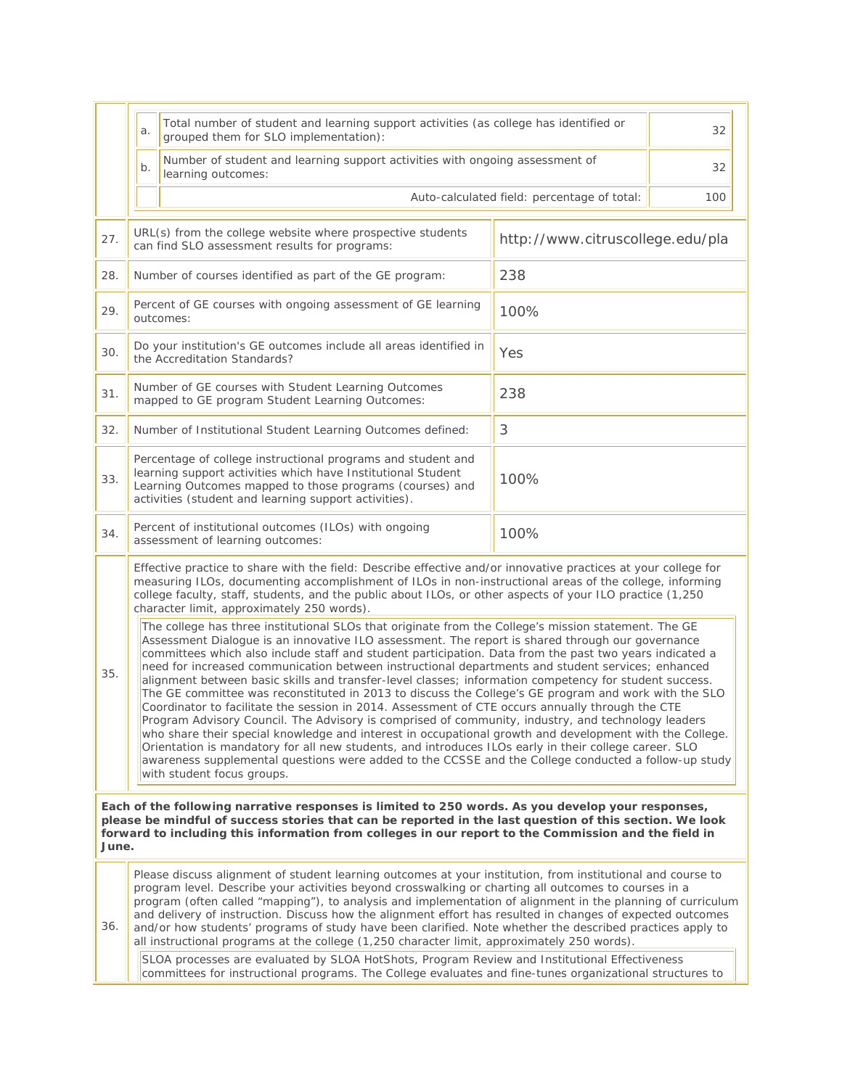|                                                                                                                                                                                                                                                                                                                               | a.                                                                                                                                                                                                                                                                                                                                                                                                                                                                                                                                                                                                                                                                                                                                                                                                                                                                                                                                                                                                                                                                                                                                                                                                             | Total number of student and learning support activities (as college has identified or<br>32<br>grouped them for SLO implementation): |                                  |  |  |
|-------------------------------------------------------------------------------------------------------------------------------------------------------------------------------------------------------------------------------------------------------------------------------------------------------------------------------|----------------------------------------------------------------------------------------------------------------------------------------------------------------------------------------------------------------------------------------------------------------------------------------------------------------------------------------------------------------------------------------------------------------------------------------------------------------------------------------------------------------------------------------------------------------------------------------------------------------------------------------------------------------------------------------------------------------------------------------------------------------------------------------------------------------------------------------------------------------------------------------------------------------------------------------------------------------------------------------------------------------------------------------------------------------------------------------------------------------------------------------------------------------------------------------------------------------|--------------------------------------------------------------------------------------------------------------------------------------|----------------------------------|--|--|
|                                                                                                                                                                                                                                                                                                                               | $b$ .                                                                                                                                                                                                                                                                                                                                                                                                                                                                                                                                                                                                                                                                                                                                                                                                                                                                                                                                                                                                                                                                                                                                                                                                          | Number of student and learning support activities with ongoing assessment of<br>32<br>learning outcomes:                             |                                  |  |  |
|                                                                                                                                                                                                                                                                                                                               |                                                                                                                                                                                                                                                                                                                                                                                                                                                                                                                                                                                                                                                                                                                                                                                                                                                                                                                                                                                                                                                                                                                                                                                                                | Auto-calculated field: percentage of total:<br>100                                                                                   |                                  |  |  |
| 27.                                                                                                                                                                                                                                                                                                                           |                                                                                                                                                                                                                                                                                                                                                                                                                                                                                                                                                                                                                                                                                                                                                                                                                                                                                                                                                                                                                                                                                                                                                                                                                | URL(s) from the college website where prospective students<br>can find SLO assessment results for programs:                          | http://www.citruscollege.edu/pla |  |  |
| 28.                                                                                                                                                                                                                                                                                                                           |                                                                                                                                                                                                                                                                                                                                                                                                                                                                                                                                                                                                                                                                                                                                                                                                                                                                                                                                                                                                                                                                                                                                                                                                                | Number of courses identified as part of the GE program:                                                                              | 238                              |  |  |
| 29.                                                                                                                                                                                                                                                                                                                           |                                                                                                                                                                                                                                                                                                                                                                                                                                                                                                                                                                                                                                                                                                                                                                                                                                                                                                                                                                                                                                                                                                                                                                                                                | Percent of GE courses with ongoing assessment of GE learning<br>outcomes:                                                            | 100%                             |  |  |
| 30.                                                                                                                                                                                                                                                                                                                           |                                                                                                                                                                                                                                                                                                                                                                                                                                                                                                                                                                                                                                                                                                                                                                                                                                                                                                                                                                                                                                                                                                                                                                                                                | Do your institution's GE outcomes include all areas identified in<br>the Accreditation Standards?                                    | Yes                              |  |  |
| 31.                                                                                                                                                                                                                                                                                                                           |                                                                                                                                                                                                                                                                                                                                                                                                                                                                                                                                                                                                                                                                                                                                                                                                                                                                                                                                                                                                                                                                                                                                                                                                                | Number of GE courses with Student Learning Outcomes<br>mapped to GE program Student Learning Outcomes:                               | 238                              |  |  |
| 32.                                                                                                                                                                                                                                                                                                                           |                                                                                                                                                                                                                                                                                                                                                                                                                                                                                                                                                                                                                                                                                                                                                                                                                                                                                                                                                                                                                                                                                                                                                                                                                | Number of Institutional Student Learning Outcomes defined:                                                                           | 3                                |  |  |
| 33.                                                                                                                                                                                                                                                                                                                           | Percentage of college instructional programs and student and<br>learning support activities which have Institutional Student<br>100%<br>Learning Outcomes mapped to those programs (courses) and<br>activities (student and learning support activities).                                                                                                                                                                                                                                                                                                                                                                                                                                                                                                                                                                                                                                                                                                                                                                                                                                                                                                                                                      |                                                                                                                                      |                                  |  |  |
| 34.                                                                                                                                                                                                                                                                                                                           | Percent of institutional outcomes (ILOs) with ongoing<br>100%<br>assessment of learning outcomes:                                                                                                                                                                                                                                                                                                                                                                                                                                                                                                                                                                                                                                                                                                                                                                                                                                                                                                                                                                                                                                                                                                              |                                                                                                                                      |                                  |  |  |
|                                                                                                                                                                                                                                                                                                                               | Effective practice to share with the field: Describe effective and/or innovative practices at your college for<br>measuring ILOs, documenting accomplishment of ILOs in non-instructional areas of the college, informing<br>college faculty, staff, students, and the public about ILOs, or other aspects of your ILO practice (1,250<br>character limit, approximately 250 words).                                                                                                                                                                                                                                                                                                                                                                                                                                                                                                                                                                                                                                                                                                                                                                                                                           |                                                                                                                                      |                                  |  |  |
| 35.                                                                                                                                                                                                                                                                                                                           | The college has three institutional SLOs that originate from the College's mission statement. The GE<br>Assessment Dialogue is an innovative ILO assessment. The report is shared through our governance<br>committees which also include staff and student participation. Data from the past two years indicated a<br>need for increased communication between instructional departments and student services; enhanced<br>alignment between basic skills and transfer-level classes; information competency for student success.<br>The GE committee was reconstituted in 2013 to discuss the College's GE program and work with the SLO<br>Coordinator to facilitate the session in 2014. Assessment of CTE occurs annually through the CTE<br>Program Advisory Council. The Advisory is comprised of community, industry, and technology leaders<br>who share their special knowledge and interest in occupational growth and development with the College.<br>Orientation is mandatory for all new students, and introduces ILOs early in their college career. SLO<br>awareness supplemental questions were added to the CCSSE and the College conducted a follow-up study<br>with student focus groups. |                                                                                                                                      |                                  |  |  |
| Each of the following narrative responses is limited to 250 words. As you develop your responses,<br>please be mindful of success stories that can be reported in the last question of this section. We look<br>forward to including this information from colleges in our report to the Commission and the field in<br>June. |                                                                                                                                                                                                                                                                                                                                                                                                                                                                                                                                                                                                                                                                                                                                                                                                                                                                                                                                                                                                                                                                                                                                                                                                                |                                                                                                                                      |                                  |  |  |
| 36.                                                                                                                                                                                                                                                                                                                           | Please discuss alignment of student learning outcomes at your institution, from institutional and course to<br>program level. Describe your activities beyond crosswalking or charting all outcomes to courses in a<br>program (often called "mapping"), to analysis and implementation of alignment in the planning of curriculum<br>and delivery of instruction. Discuss how the alignment effort has resulted in changes of expected outcomes<br>and/or how students' programs of study have been clarified. Note whether the described practices apply to<br>all instructional programs at the college (1,250 character limit, approximately 250 words).<br>SLOA processes are evaluated by SLOA HotShots, Program Review and Institutional Effectiveness                                                                                                                                                                                                                                                                                                                                                                                                                                                  |                                                                                                                                      |                                  |  |  |
|                                                                                                                                                                                                                                                                                                                               |                                                                                                                                                                                                                                                                                                                                                                                                                                                                                                                                                                                                                                                                                                                                                                                                                                                                                                                                                                                                                                                                                                                                                                                                                | committees for instructional programs. The College evaluates and fine-tunes organizational structures to                             |                                  |  |  |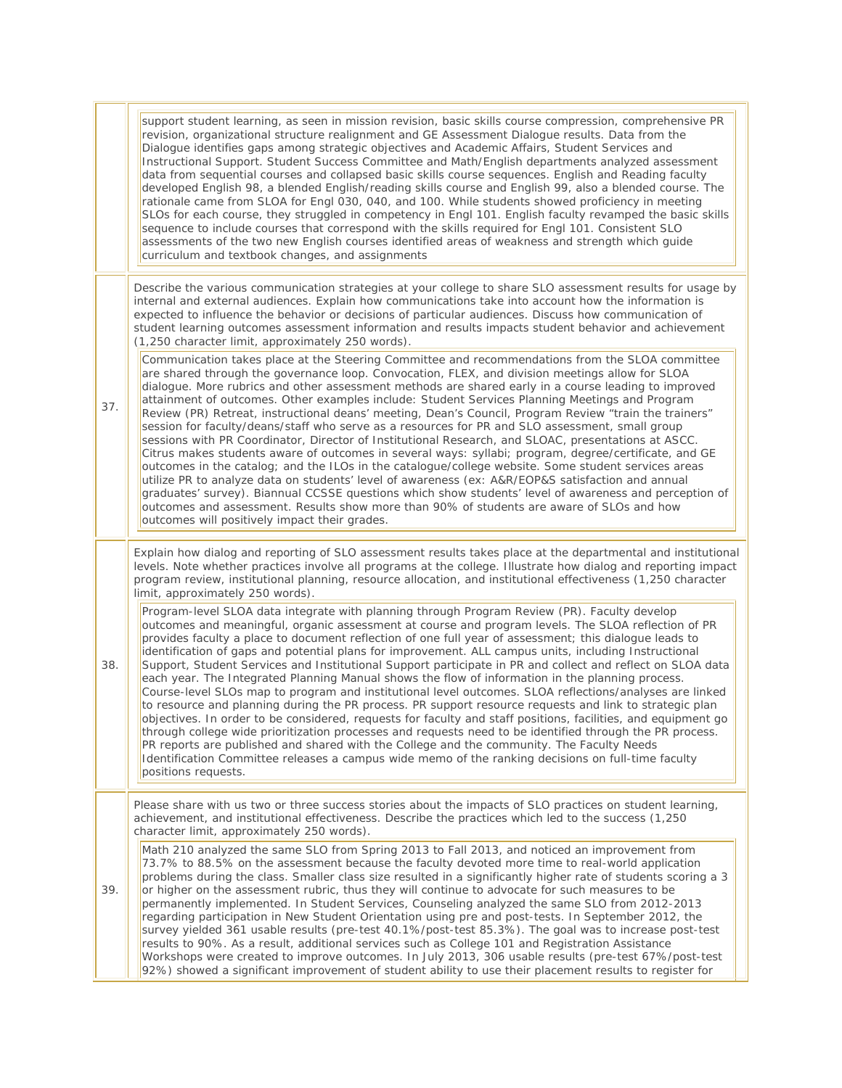|     | support student learning, as seen in mission revision, basic skills course compression, comprehensive PR<br>revision, organizational structure realignment and GE Assessment Dialogue results. Data from the<br>Dialogue identifies gaps among strategic objectives and Academic Affairs, Student Services and<br>Instructional Support. Student Success Committee and Math/English departments analyzed assessment<br>data from sequential courses and collapsed basic skills course sequences. English and Reading faculty                                                                                                                                                                                                                                                                                                                                                                                                                                                                                                                                                                                                                                                                                                                                                                                          |
|-----|-----------------------------------------------------------------------------------------------------------------------------------------------------------------------------------------------------------------------------------------------------------------------------------------------------------------------------------------------------------------------------------------------------------------------------------------------------------------------------------------------------------------------------------------------------------------------------------------------------------------------------------------------------------------------------------------------------------------------------------------------------------------------------------------------------------------------------------------------------------------------------------------------------------------------------------------------------------------------------------------------------------------------------------------------------------------------------------------------------------------------------------------------------------------------------------------------------------------------------------------------------------------------------------------------------------------------|
|     | developed English 98, a blended English/reading skills course and English 99, also a blended course. The<br>rationale came from SLOA for Engl 030, 040, and 100. While students showed proficiency in meeting<br>SLOs for each course, they struggled in competency in Engl 101. English faculty revamped the basic skills<br>sequence to include courses that correspond with the skills required for Engl 101. Consistent SLO<br>assessments of the two new English courses identified areas of weakness and strength which guide<br>curriculum and textbook changes, and assignments                                                                                                                                                                                                                                                                                                                                                                                                                                                                                                                                                                                                                                                                                                                               |
|     | Describe the various communication strategies at your college to share SLO assessment results for usage by<br>internal and external audiences. Explain how communications take into account how the information is<br>expected to influence the behavior or decisions of particular audiences. Discuss how communication of<br>student learning outcomes assessment information and results impacts student behavior and achievement<br>(1,250 character limit, approximately 250 words).                                                                                                                                                                                                                                                                                                                                                                                                                                                                                                                                                                                                                                                                                                                                                                                                                             |
| 37. | Communication takes place at the Steering Committee and recommendations from the SLOA committee<br>are shared through the governance loop. Convocation, FLEX, and division meetings allow for SLOA<br>dialogue. More rubrics and other assessment methods are shared early in a course leading to improved<br>attainment of outcomes. Other examples include: Student Services Planning Meetings and Program<br>Review (PR) Retreat, instructional deans' meeting, Dean's Council, Program Review "train the trainers"<br>session for faculty/deans/staff who serve as a resources for PR and SLO assessment, small group<br>sessions with PR Coordinator, Director of Institutional Research, and SLOAC, presentations at ASCC.<br>Citrus makes students aware of outcomes in several ways: syllabi; program, degree/certificate, and GE<br>outcomes in the catalog; and the ILOs in the catalogue/college website. Some student services areas<br>utilize PR to analyze data on students' level of awareness (ex: A&R/EOP&S satisfaction and annual<br>graduates' survey). Biannual CCSSE questions which show students' level of awareness and perception of<br>outcomes and assessment. Results show more than 90% of students are aware of SLOs and how<br>outcomes will positively impact their grades.         |
|     | Explain how dialog and reporting of SLO assessment results takes place at the departmental and institutional<br>levels. Note whether practices involve all programs at the college. Illustrate how dialog and reporting impact<br>program review, institutional planning, resource allocation, and institutional effectiveness (1,250 character<br>limit, approximately 250 words).                                                                                                                                                                                                                                                                                                                                                                                                                                                                                                                                                                                                                                                                                                                                                                                                                                                                                                                                   |
| 38. | Program-level SLOA data integrate with planning through Program Review (PR). Faculty develop<br>outcomes and meaningful, organic assessment at course and program levels. The SLOA reflection of PR<br>provides faculty a place to document reflection of one full year of assessment; this dialogue leads to<br>identification of gaps and potential plans for improvement. ALL campus units, including Instructional<br>Support, Student Services and Institutional Support participate in PR and collect and reflect on SLOA data<br>each year. The Integrated Planning Manual shows the flow of information in the planning process.<br>Course-level SLOs map to program and institutional level outcomes. SLOA reflections/analyses are linked<br>to resource and planning during the PR process. PR support resource requests and link to strategic plan<br>objectives. In order to be considered, requests for faculty and staff positions, facilities, and equipment go<br>through college wide prioritization processes and requests need to be identified through the PR process.<br>PR reports are published and shared with the College and the community. The Faculty Needs<br>Identification Committee releases a campus wide memo of the ranking decisions on full-time faculty<br>positions requests. |
|     | Please share with us two or three success stories about the impacts of SLO practices on student learning,<br>achievement, and institutional effectiveness. Describe the practices which led to the success (1,250<br>character limit, approximately 250 words).                                                                                                                                                                                                                                                                                                                                                                                                                                                                                                                                                                                                                                                                                                                                                                                                                                                                                                                                                                                                                                                       |
| 39. | Math 210 analyzed the same SLO from Spring 2013 to Fall 2013, and noticed an improvement from<br>73.7% to 88.5% on the assessment because the faculty devoted more time to real-world application<br>problems during the class. Smaller class size resulted in a significantly higher rate of students scoring a 3<br>or higher on the assessment rubric, thus they will continue to advocate for such measures to be<br>permanently implemented. In Student Services, Counseling analyzed the same SLO from 2012-2013<br>regarding participation in New Student Orientation using pre and post-tests. In September 2012, the<br>survey yielded 361 usable results (pre-test 40.1%/post-test 85.3%). The goal was to increase post-test<br>results to 90%. As a result, additional services such as College 101 and Registration Assistance<br>Workshops were created to improve outcomes. In July 2013, 306 usable results (pre-test 67%/post-test<br>92%) showed a significant improvement of student ability to use their placement results to register for                                                                                                                                                                                                                                                        |